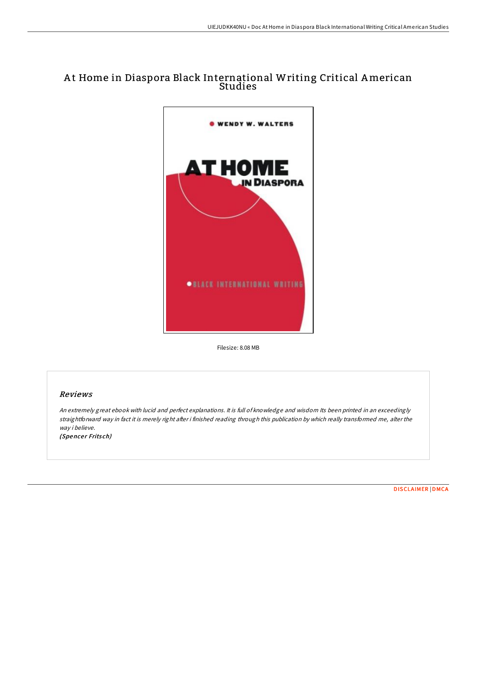# A t Home in Diaspora Black International Writing Critical American Studies



Filesize: 8.08 MB

## Reviews

An extremely great ebook with lucid and perfect explanations. It is full of knowledge and wisdom Its been printed in an exceedingly straightforward way in fact it is merely right after i finished reading through this publication by which really transformed me, alter the way i believe.

(Spencer Fritsch)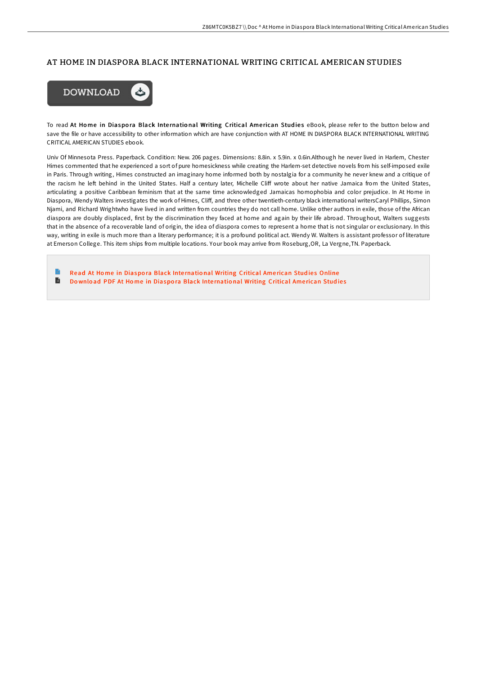#### AT HOME IN DIASPORA BLACK INTERNATIONAL WRITING CRITICAL AMERICAN STUDIES



To read At Home in Diaspora Black International Writing Critical American Studies eBook, please refer to the button below and save the file or have accessibility to other information which are have conjunction with AT HOME IN DIASPORA BLACK INTERNATIONAL WRITING CRITICAL AMERICAN STUDIES ebook.

Univ Of Minnesota Press. Paperback. Condition: New. 206 pages. Dimensions: 8.8in. x 5.9in. x 0.6in.Although he never lived in Harlem, Chester Himes commented that he experienced a sort of pure homesickness while creating the Harlem-set detective novels from his self-imposed exile in Paris. Through writing, Himes constructed an imaginary home informed both by nostalgia for a community he never knew and a critique of the racism he left behind in the United States. Half a century later, Michelle Cliff wrote about her native Jamaica from the United States, articulating a positive Caribbean feminism that at the same time acknowledged Jamaicas homophobia and color prejudice. In At Home in Diaspora, Wendy Walters investigates the work of Himes, Cliff, and three other twentieth-century black international writersCaryl Phillips, Simon Njami, and Richard Wrightwho have lived in and written from countries they do not call home. Unlike other authors in exile, those of the African diaspora are doubly displaced, first by the discrimination they faced at home and again by their life abroad. Throughout, Walters suggests that in the absence of a recoverable land of origin, the idea of diaspora comes to represent a home that is not singular or exclusionary. In this way, writing in exile is much more than a literary performance; it is a profound political act. Wendy W. Walters is assistant professor of literature at Emerson College. This item ships from multiple locations. Your book may arrive from Roseburg,OR, La Vergne,TN. Paperback.

Read At Home in Diaspora Black International Writing [Critical](http://almighty24.tech/at-home-in-diaspora-black-international-writing-.html) American Studies Online D Download PDF At Home in Diaspora Black International Writing [Critical](http://almighty24.tech/at-home-in-diaspora-black-international-writing-.html) American Studies